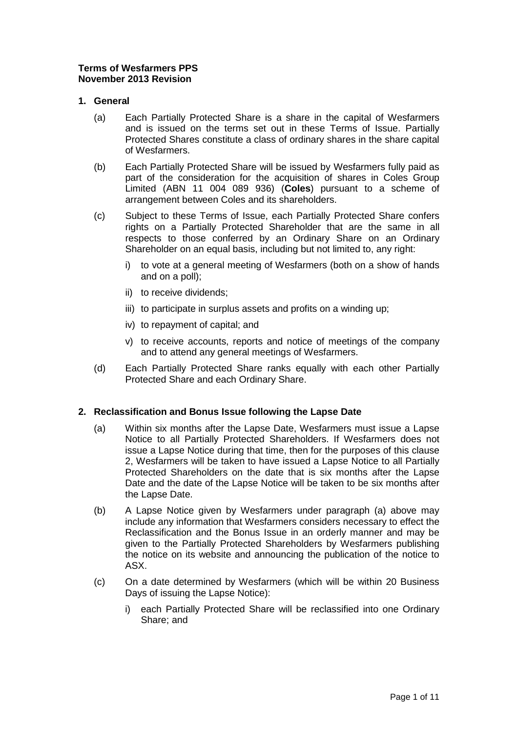# **Terms of Wesfarmers PPS November 2013 Revision**

# **1. General**

- (a) Each Partially Protected Share is a share in the capital of Wesfarmers and is issued on the terms set out in these Terms of Issue. Partially Protected Shares constitute a class of ordinary shares in the share capital of Wesfarmers.
- (b) Each Partially Protected Share will be issued by Wesfarmers fully paid as part of the consideration for the acquisition of shares in Coles Group Limited (ABN 11 004 089 936) (**Coles**) pursuant to a scheme of arrangement between Coles and its shareholders.
- (c) Subject to these Terms of Issue, each Partially Protected Share confers rights on a Partially Protected Shareholder that are the same in all respects to those conferred by an Ordinary Share on an Ordinary Shareholder on an equal basis, including but not limited to, any right:
	- i) to vote at a general meeting of Wesfarmers (both on a show of hands and on a poll);
	- ii) to receive dividends;
	- iii) to participate in surplus assets and profits on a winding up;
	- iv) to repayment of capital; and
	- v) to receive accounts, reports and notice of meetings of the company and to attend any general meetings of Wesfarmers.
- (d) Each Partially Protected Share ranks equally with each other Partially Protected Share and each Ordinary Share.

## **2. Reclassification and Bonus Issue following the Lapse Date**

- (a) Within six months after the Lapse Date, Wesfarmers must issue a Lapse Notice to all Partially Protected Shareholders. If Wesfarmers does not issue a Lapse Notice during that time, then for the purposes of this clause 2, Wesfarmers will be taken to have issued a Lapse Notice to all Partially Protected Shareholders on the date that is six months after the Lapse Date and the date of the Lapse Notice will be taken to be six months after the Lapse Date.
- (b) A Lapse Notice given by Wesfarmers under paragraph (a) above may include any information that Wesfarmers considers necessary to effect the Reclassification and the Bonus Issue in an orderly manner and may be given to the Partially Protected Shareholders by Wesfarmers publishing the notice on its website and announcing the publication of the notice to ASX.
- (c) On a date determined by Wesfarmers (which will be within 20 Business Days of issuing the Lapse Notice):
	- i) each Partially Protected Share will be reclassified into one Ordinary Share; and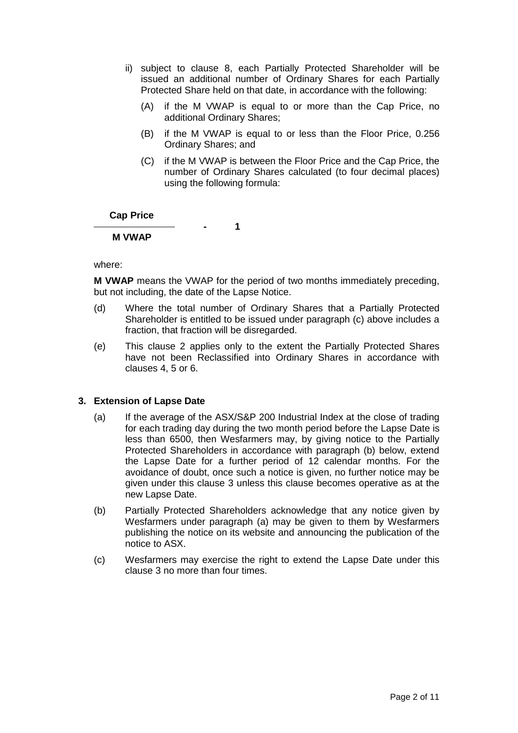- ii) subject to clause 8, each Partially Protected Shareholder will be issued an additional number of Ordinary Shares for each Partially Protected Share held on that date, in accordance with the following:
	- (A) if the M VWAP is equal to or more than the Cap Price, no additional Ordinary Shares;
	- (B) if the M VWAP is equal to or less than the Floor Price, 0.256 Ordinary Shares; and
	- (C) if the M VWAP is between the Floor Price and the Cap Price, the number of Ordinary Shares calculated (to four decimal places) using the following formula:

## **Cap Price**

**- 1**

# **M VWAP**

where:

**M VWAP** means the VWAP for the period of two months immediately preceding, but not including, the date of the Lapse Notice.

- (d) Where the total number of Ordinary Shares that a Partially Protected Shareholder is entitled to be issued under paragraph (c) above includes a fraction, that fraction will be disregarded.
- (e) This clause 2 applies only to the extent the Partially Protected Shares have not been Reclassified into Ordinary Shares in accordance with clauses 4, 5 or 6.

## **3. Extension of Lapse Date**

- (a) If the average of the ASX/S&P 200 Industrial Index at the close of trading for each trading day during the two month period before the Lapse Date is less than 6500, then Wesfarmers may, by giving notice to the Partially Protected Shareholders in accordance with paragraph (b) below, extend the Lapse Date for a further period of 12 calendar months. For the avoidance of doubt, once such a notice is given, no further notice may be given under this clause 3 unless this clause becomes operative as at the new Lapse Date.
- (b) Partially Protected Shareholders acknowledge that any notice given by Wesfarmers under paragraph (a) may be given to them by Wesfarmers publishing the notice on its website and announcing the publication of the notice to ASX.
- (c) Wesfarmers may exercise the right to extend the Lapse Date under this clause 3 no more than four times.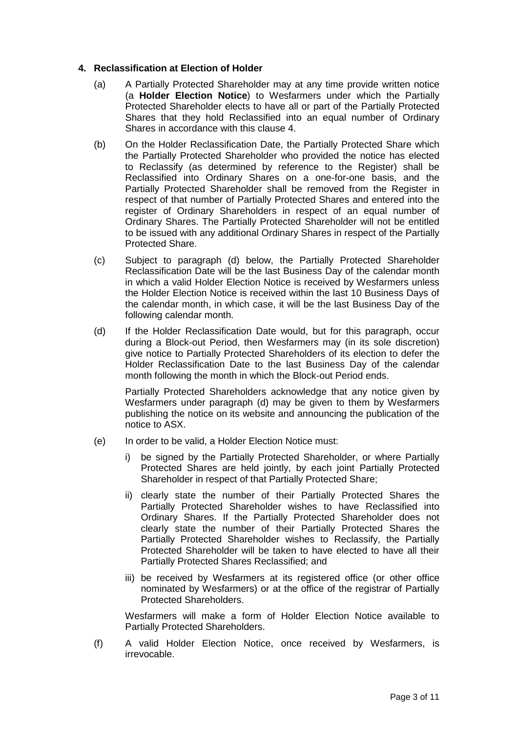# **4. Reclassification at Election of Holder**

- (a) A Partially Protected Shareholder may at any time provide written notice (a **Holder Election Notice**) to Wesfarmers under which the Partially Protected Shareholder elects to have all or part of the Partially Protected Shares that they hold Reclassified into an equal number of Ordinary Shares in accordance with this clause 4.
- (b) On the Holder Reclassification Date, the Partially Protected Share which the Partially Protected Shareholder who provided the notice has elected to Reclassify (as determined by reference to the Register) shall be Reclassified into Ordinary Shares on a one-for-one basis, and the Partially Protected Shareholder shall be removed from the Register in respect of that number of Partially Protected Shares and entered into the register of Ordinary Shareholders in respect of an equal number of Ordinary Shares. The Partially Protected Shareholder will not be entitled to be issued with any additional Ordinary Shares in respect of the Partially Protected Share.
- (c) Subject to paragraph (d) below, the Partially Protected Shareholder Reclassification Date will be the last Business Day of the calendar month in which a valid Holder Election Notice is received by Wesfarmers unless the Holder Election Notice is received within the last 10 Business Days of the calendar month, in which case, it will be the last Business Day of the following calendar month.
- (d) If the Holder Reclassification Date would, but for this paragraph, occur during a Block-out Period, then Wesfarmers may (in its sole discretion) give notice to Partially Protected Shareholders of its election to defer the Holder Reclassification Date to the last Business Day of the calendar month following the month in which the Block-out Period ends.

Partially Protected Shareholders acknowledge that any notice given by Wesfarmers under paragraph (d) may be given to them by Wesfarmers publishing the notice on its website and announcing the publication of the notice to ASX.

- (e) In order to be valid, a Holder Election Notice must:
	- i) be signed by the Partially Protected Shareholder, or where Partially Protected Shares are held jointly, by each joint Partially Protected Shareholder in respect of that Partially Protected Share;
	- ii) clearly state the number of their Partially Protected Shares the Partially Protected Shareholder wishes to have Reclassified into Ordinary Shares. If the Partially Protected Shareholder does not clearly state the number of their Partially Protected Shares the Partially Protected Shareholder wishes to Reclassify, the Partially Protected Shareholder will be taken to have elected to have all their Partially Protected Shares Reclassified; and
	- iii) be received by Wesfarmers at its registered office (or other office nominated by Wesfarmers) or at the office of the registrar of Partially Protected Shareholders.

Wesfarmers will make a form of Holder Election Notice available to Partially Protected Shareholders.

(f) A valid Holder Election Notice, once received by Wesfarmers, is irrevocable.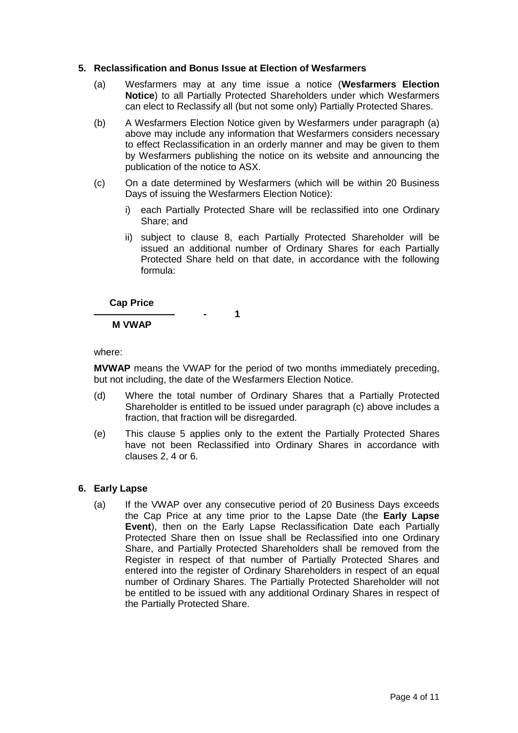# **5. Reclassification and Bonus Issue at Election of Wesfarmers**

- (a) Wesfarmers may at any time issue a notice (**Wesfarmers Election Notice**) to all Partially Protected Shareholders under which Wesfarmers can elect to Reclassify all (but not some only) Partially Protected Shares.
- (b) A Wesfarmers Election Notice given by Wesfarmers under paragraph (a) above may include any information that Wesfarmers considers necessary to effect Reclassification in an orderly manner and may be given to them by Wesfarmers publishing the notice on its website and announcing the publication of the notice to ASX.
- (c) On a date determined by Wesfarmers (which will be within 20 Business Days of issuing the Wesfarmers Election Notice):
	- i) each Partially Protected Share will be reclassified into one Ordinary Share; and
	- ii) subject to clause 8, each Partially Protected Shareholder will be issued an additional number of Ordinary Shares for each Partially Protected Share held on that date, in accordance with the following formula:

# **Cap Price**

**- 1**

# **M VWAP**

where:

**MVWAP** means the VWAP for the period of two months immediately preceding, but not including, the date of the Wesfarmers Election Notice.

- (d) Where the total number of Ordinary Shares that a Partially Protected Shareholder is entitled to be issued under paragraph (c) above includes a fraction, that fraction will be disregarded.
- (e) This clause 5 applies only to the extent the Partially Protected Shares have not been Reclassified into Ordinary Shares in accordance with clauses 2, 4 or 6.

# **6. Early Lapse**

(a) If the VWAP over any consecutive period of 20 Business Days exceeds the Cap Price at any time prior to the Lapse Date (the **Early Lapse Event**), then on the Early Lapse Reclassification Date each Partially Protected Share then on Issue shall be Reclassified into one Ordinary Share, and Partially Protected Shareholders shall be removed from the Register in respect of that number of Partially Protected Shares and entered into the register of Ordinary Shareholders in respect of an equal number of Ordinary Shares. The Partially Protected Shareholder will not be entitled to be issued with any additional Ordinary Shares in respect of the Partially Protected Share.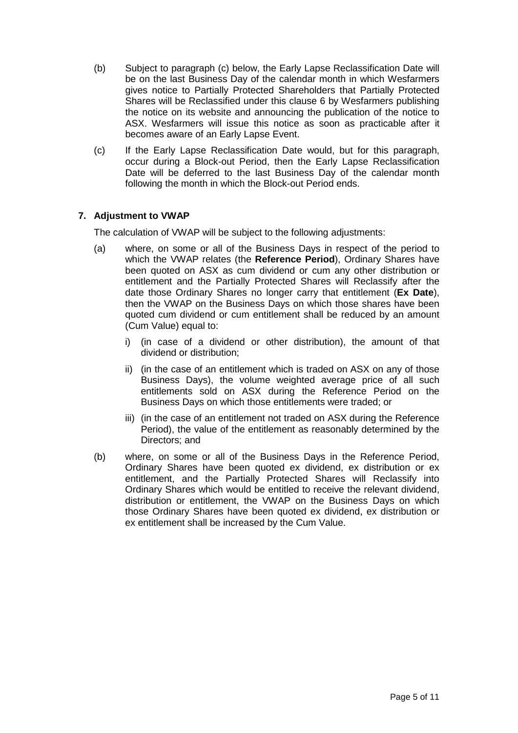- (b) Subject to paragraph (c) below, the Early Lapse Reclassification Date will be on the last Business Day of the calendar month in which Wesfarmers gives notice to Partially Protected Shareholders that Partially Protected Shares will be Reclassified under this clause 6 by Wesfarmers publishing the notice on its website and announcing the publication of the notice to ASX. Wesfarmers will issue this notice as soon as practicable after it becomes aware of an Early Lapse Event.
- (c) If the Early Lapse Reclassification Date would, but for this paragraph, occur during a Block-out Period, then the Early Lapse Reclassification Date will be deferred to the last Business Day of the calendar month following the month in which the Block-out Period ends.

# **7. Adjustment to VWAP**

The calculation of VWAP will be subject to the following adjustments:

- (a) where, on some or all of the Business Days in respect of the period to which the VWAP relates (the **Reference Period**), Ordinary Shares have been quoted on ASX as cum dividend or cum any other distribution or entitlement and the Partially Protected Shares will Reclassify after the date those Ordinary Shares no longer carry that entitlement (**Ex Date**), then the VWAP on the Business Days on which those shares have been quoted cum dividend or cum entitlement shall be reduced by an amount (Cum Value) equal to:
	- i) (in case of a dividend or other distribution), the amount of that dividend or distribution;
	- ii) (in the case of an entitlement which is traded on ASX on any of those Business Days), the volume weighted average price of all such entitlements sold on ASX during the Reference Period on the Business Days on which those entitlements were traded; or
	- iii) (in the case of an entitlement not traded on ASX during the Reference Period), the value of the entitlement as reasonably determined by the Directors; and
- (b) where, on some or all of the Business Days in the Reference Period, Ordinary Shares have been quoted ex dividend, ex distribution or ex entitlement, and the Partially Protected Shares will Reclassify into Ordinary Shares which would be entitled to receive the relevant dividend, distribution or entitlement, the VWAP on the Business Days on which those Ordinary Shares have been quoted ex dividend, ex distribution or ex entitlement shall be increased by the Cum Value.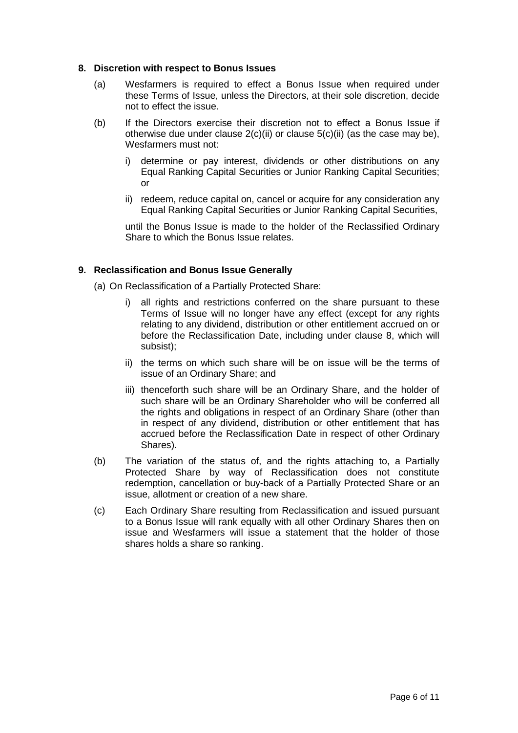# **8. Discretion with respect to Bonus Issues**

- (a) Wesfarmers is required to effect a Bonus Issue when required under these Terms of Issue, unless the Directors, at their sole discretion, decide not to effect the issue.
- (b) If the Directors exercise their discretion not to effect a Bonus Issue if otherwise due under clause  $2(c)(ii)$  or clause  $5(c)(ii)$  (as the case may be), Wesfarmers must not:
	- determine or pay interest, dividends or other distributions on any Equal Ranking Capital Securities or Junior Ranking Capital Securities; or
	- ii) redeem, reduce capital on, cancel or acquire for any consideration any Equal Ranking Capital Securities or Junior Ranking Capital Securities,

until the Bonus Issue is made to the holder of the Reclassified Ordinary Share to which the Bonus Issue relates.

# **9. Reclassification and Bonus Issue Generally**

- (a) On Reclassification of a Partially Protected Share:
	- i) all rights and restrictions conferred on the share pursuant to these Terms of Issue will no longer have any effect (except for any rights relating to any dividend, distribution or other entitlement accrued on or before the Reclassification Date, including under clause 8, which will subsist);
	- ii) the terms on which such share will be on issue will be the terms of issue of an Ordinary Share; and
	- iii) thenceforth such share will be an Ordinary Share, and the holder of such share will be an Ordinary Shareholder who will be conferred all the rights and obligations in respect of an Ordinary Share (other than in respect of any dividend, distribution or other entitlement that has accrued before the Reclassification Date in respect of other Ordinary Shares).
- (b) The variation of the status of, and the rights attaching to, a Partially Protected Share by way of Reclassification does not constitute redemption, cancellation or buy-back of a Partially Protected Share or an issue, allotment or creation of a new share.
- (c) Each Ordinary Share resulting from Reclassification and issued pursuant to a Bonus Issue will rank equally with all other Ordinary Shares then on issue and Wesfarmers will issue a statement that the holder of those shares holds a share so ranking.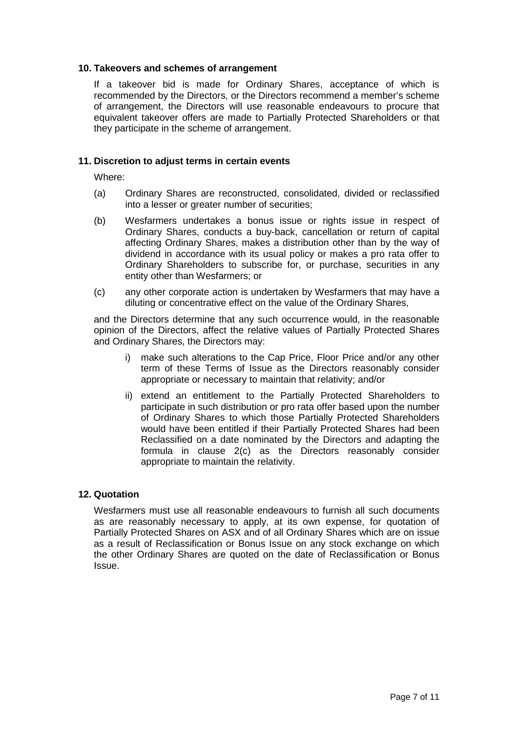# **10. Takeovers and schemes of arrangement**

If a takeover bid is made for Ordinary Shares, acceptance of which is recommended by the Directors, or the Directors recommend a member's scheme of arrangement, the Directors will use reasonable endeavours to procure that equivalent takeover offers are made to Partially Protected Shareholders or that they participate in the scheme of arrangement.

# **11. Discretion to adjust terms in certain events**

Where:

- (a) Ordinary Shares are reconstructed, consolidated, divided or reclassified into a lesser or greater number of securities;
- (b) Wesfarmers undertakes a bonus issue or rights issue in respect of Ordinary Shares, conducts a buy-back, cancellation or return of capital affecting Ordinary Shares, makes a distribution other than by the way of dividend in accordance with its usual policy or makes a pro rata offer to Ordinary Shareholders to subscribe for, or purchase, securities in any entity other than Wesfarmers; or
- (c) any other corporate action is undertaken by Wesfarmers that may have a diluting or concentrative effect on the value of the Ordinary Shares,

and the Directors determine that any such occurrence would, in the reasonable opinion of the Directors, affect the relative values of Partially Protected Shares and Ordinary Shares, the Directors may:

- i) make such alterations to the Cap Price, Floor Price and/or any other term of these Terms of Issue as the Directors reasonably consider appropriate or necessary to maintain that relativity; and/or
- ii) extend an entitlement to the Partially Protected Shareholders to participate in such distribution or pro rata offer based upon the number of Ordinary Shares to which those Partially Protected Shareholders would have been entitled if their Partially Protected Shares had been Reclassified on a date nominated by the Directors and adapting the formula in clause 2(c) as the Directors reasonably consider appropriate to maintain the relativity.

## **12. Quotation**

Wesfarmers must use all reasonable endeavours to furnish all such documents as are reasonably necessary to apply, at its own expense, for quotation of Partially Protected Shares on ASX and of all Ordinary Shares which are on issue as a result of Reclassification or Bonus Issue on any stock exchange on which the other Ordinary Shares are quoted on the date of Reclassification or Bonus Issue.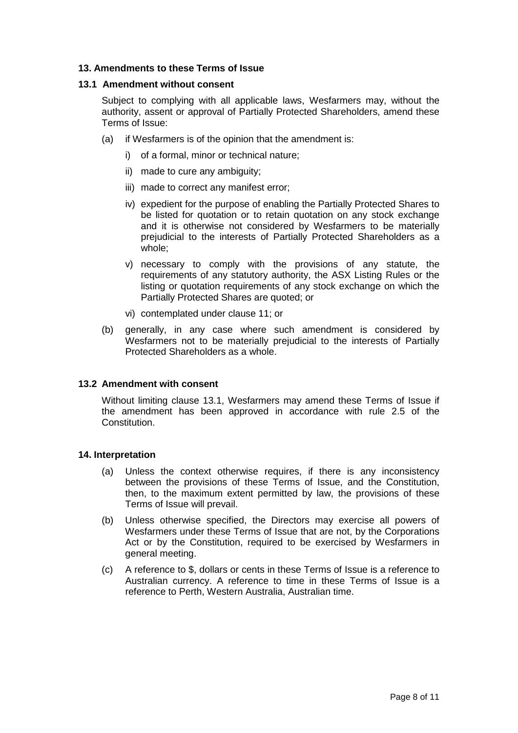# **13. Amendments to these Terms of Issue**

## **13.1 Amendment without consent**

Subject to complying with all applicable laws, Wesfarmers may, without the authority, assent or approval of Partially Protected Shareholders, amend these Terms of Issue:

- (a) if Wesfarmers is of the opinion that the amendment is:
	- i) of a formal, minor or technical nature;
	- ii) made to cure any ambiguity;
	- iii) made to correct any manifest error;
	- iv) expedient for the purpose of enabling the Partially Protected Shares to be listed for quotation or to retain quotation on any stock exchange and it is otherwise not considered by Wesfarmers to be materially prejudicial to the interests of Partially Protected Shareholders as a whole;
	- v) necessary to comply with the provisions of any statute, the requirements of any statutory authority, the ASX Listing Rules or the listing or quotation requirements of any stock exchange on which the Partially Protected Shares are quoted; or
	- vi) contemplated under clause 11; or
- (b) generally, in any case where such amendment is considered by Wesfarmers not to be materially prejudicial to the interests of Partially Protected Shareholders as a whole.

## **13.2 Amendment with consent**

Without limiting clause 13.1, Wesfarmers may amend these Terms of Issue if the amendment has been approved in accordance with rule 2.5 of the Constitution.

## **14. Interpretation**

- (a) Unless the context otherwise requires, if there is any inconsistency between the provisions of these Terms of Issue, and the Constitution, then, to the maximum extent permitted by law, the provisions of these Terms of Issue will prevail.
- (b) Unless otherwise specified, the Directors may exercise all powers of Wesfarmers under these Terms of Issue that are not, by the Corporations Act or by the Constitution, required to be exercised by Wesfarmers in general meeting.
- (c) A reference to \$, dollars or cents in these Terms of Issue is a reference to Australian currency. A reference to time in these Terms of Issue is a reference to Perth, Western Australia, Australian time.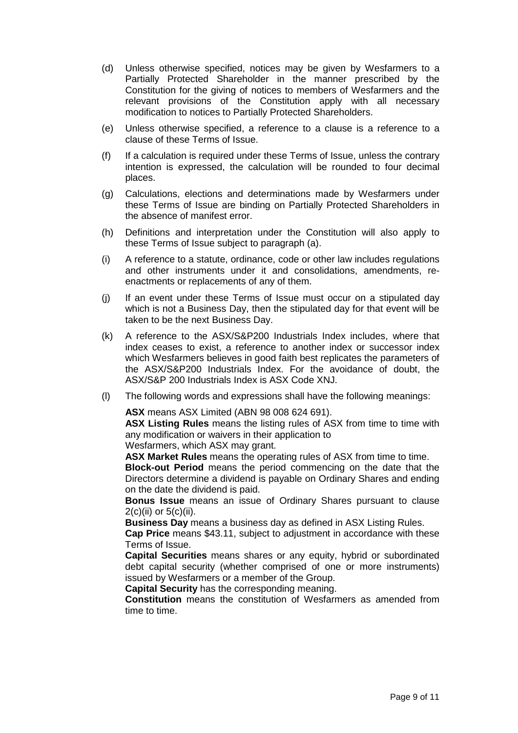- (d) Unless otherwise specified, notices may be given by Wesfarmers to a Partially Protected Shareholder in the manner prescribed by the Constitution for the giving of notices to members of Wesfarmers and the relevant provisions of the Constitution apply with all necessary modification to notices to Partially Protected Shareholders.
- (e) Unless otherwise specified, a reference to a clause is a reference to a clause of these Terms of Issue.
- (f) If a calculation is required under these Terms of Issue, unless the contrary intention is expressed, the calculation will be rounded to four decimal places.
- (g) Calculations, elections and determinations made by Wesfarmers under these Terms of Issue are binding on Partially Protected Shareholders in the absence of manifest error.
- (h) Definitions and interpretation under the Constitution will also apply to these Terms of Issue subject to paragraph (a).
- (i) A reference to a statute, ordinance, code or other law includes regulations and other instruments under it and consolidations, amendments, reenactments or replacements of any of them.
- (j) If an event under these Terms of Issue must occur on a stipulated day which is not a Business Day, then the stipulated day for that event will be taken to be the next Business Day.
- (k) A reference to the ASX/S&P200 Industrials Index includes, where that index ceases to exist, a reference to another index or successor index which Wesfarmers believes in good faith best replicates the parameters of the ASX/S&P200 Industrials Index. For the avoidance of doubt, the ASX/S&P 200 Industrials Index is ASX Code XNJ.
- (l) The following words and expressions shall have the following meanings:

**ASX** means ASX Limited (ABN 98 008 624 691).

**ASX Listing Rules** means the listing rules of ASX from time to time with any modification or waivers in their application to

Wesfarmers, which ASX may grant.

**ASX Market Rules** means the operating rules of ASX from time to time. **Block-out Period** means the period commencing on the date that the Directors determine a dividend is payable on Ordinary Shares and ending on the date the dividend is paid.

**Bonus Issue** means an issue of Ordinary Shares pursuant to clause  $2(c)(ii)$  or  $5(c)(ii)$ .

**Business Day** means a business day as defined in ASX Listing Rules.

**Cap Price** means \$43.11, subject to adjustment in accordance with these Terms of Issue.

**Capital Securities** means shares or any equity, hybrid or subordinated debt capital security (whether comprised of one or more instruments) issued by Wesfarmers or a member of the Group.

**Capital Security** has the corresponding meaning.

**Constitution** means the constitution of Wesfarmers as amended from time to time.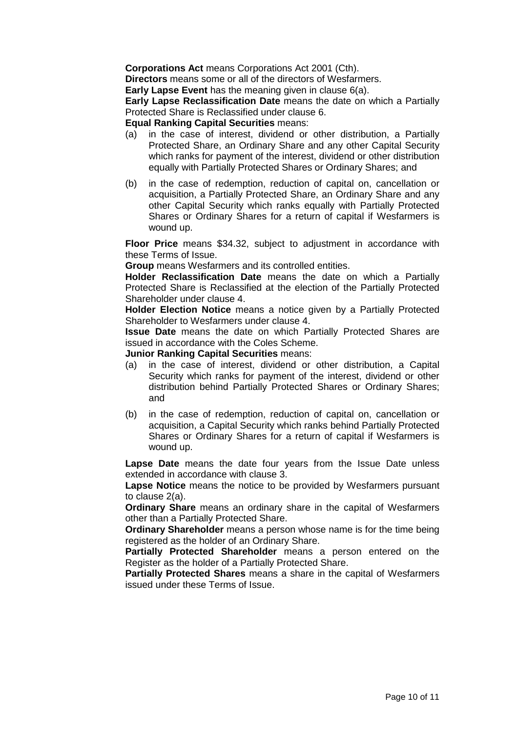**Corporations Act** means Corporations Act 2001 (Cth).

**Directors** means some or all of the directors of Wesfarmers.

**Early Lapse Event** has the meaning given in clause 6(a).

**Early Lapse Reclassification Date** means the date on which a Partially Protected Share is Reclassified under clause 6.

# **Equal Ranking Capital Securities** means:

- (a) in the case of interest, dividend or other distribution, a Partially Protected Share, an Ordinary Share and any other Capital Security which ranks for payment of the interest, dividend or other distribution equally with Partially Protected Shares or Ordinary Shares; and
- (b) in the case of redemption, reduction of capital on, cancellation or acquisition, a Partially Protected Share, an Ordinary Share and any other Capital Security which ranks equally with Partially Protected Shares or Ordinary Shares for a return of capital if Wesfarmers is wound up.

**Floor Price** means \$34.32, subject to adjustment in accordance with these Terms of Issue.

**Group** means Wesfarmers and its controlled entities.

**Holder Reclassification Date** means the date on which a Partially Protected Share is Reclassified at the election of the Partially Protected Shareholder under clause 4.

**Holder Election Notice** means a notice given by a Partially Protected Shareholder to Wesfarmers under clause 4.

**Issue Date** means the date on which Partially Protected Shares are issued in accordance with the Coles Scheme.

**Junior Ranking Capital Securities** means:

- (a) in the case of interest, dividend or other distribution, a Capital Security which ranks for payment of the interest, dividend or other distribution behind Partially Protected Shares or Ordinary Shares; and
- (b) in the case of redemption, reduction of capital on, cancellation or acquisition, a Capital Security which ranks behind Partially Protected Shares or Ordinary Shares for a return of capital if Wesfarmers is wound up.

**Lapse Date** means the date four years from the Issue Date unless extended in accordance with clause 3.

**Lapse Notice** means the notice to be provided by Wesfarmers pursuant to clause 2(a).

**Ordinary Share** means an ordinary share in the capital of Wesfarmers other than a Partially Protected Share.

**Ordinary Shareholder** means a person whose name is for the time being registered as the holder of an Ordinary Share.

**Partially Protected Shareholder** means a person entered on the Register as the holder of a Partially Protected Share.

**Partially Protected Shares** means a share in the capital of Wesfarmers issued under these Terms of Issue.